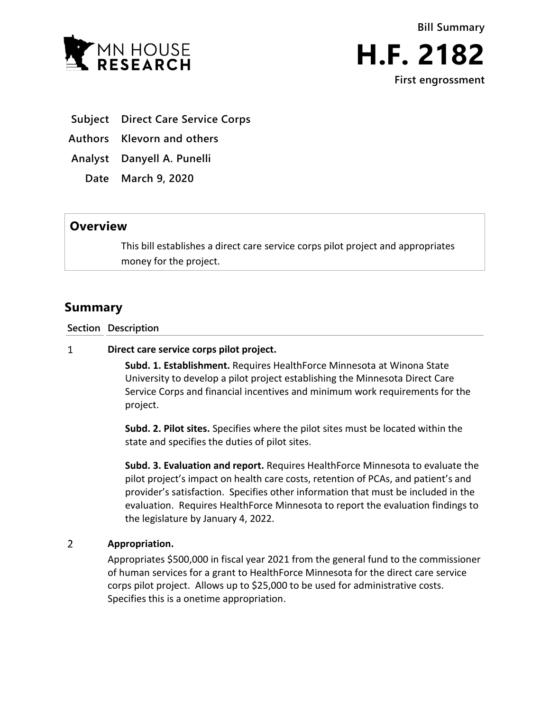



- **Subject Direct Care Service Corps**
- **Authors Klevorn and others**

**Analyst Danyell A. Punelli**

**Date March 9, 2020**

## **Overview**

This bill establishes a direct care service corps pilot project and appropriates money for the project.

## **Summary**

**Section Description**

## $\mathbf{1}$ **Direct care service corps pilot project.**

**Subd. 1. Establishment.** Requires HealthForce Minnesota at Winona State University to develop a pilot project establishing the Minnesota Direct Care Service Corps and financial incentives and minimum work requirements for the project.

**Subd. 2. Pilot sites.** Specifies where the pilot sites must be located within the state and specifies the duties of pilot sites.

**Subd. 3. Evaluation and report.** Requires HealthForce Minnesota to evaluate the pilot project's impact on health care costs, retention of PCAs, and patient's and provider's satisfaction. Specifies other information that must be included in the evaluation. Requires HealthForce Minnesota to report the evaluation findings to the legislature by January 4, 2022.

## $\overline{2}$ **Appropriation.**

Appropriates \$500,000 in fiscal year 2021 from the general fund to the commissioner of human services for a grant to HealthForce Minnesota for the direct care service corps pilot project. Allows up to \$25,000 to be used for administrative costs. Specifies this is a onetime appropriation.